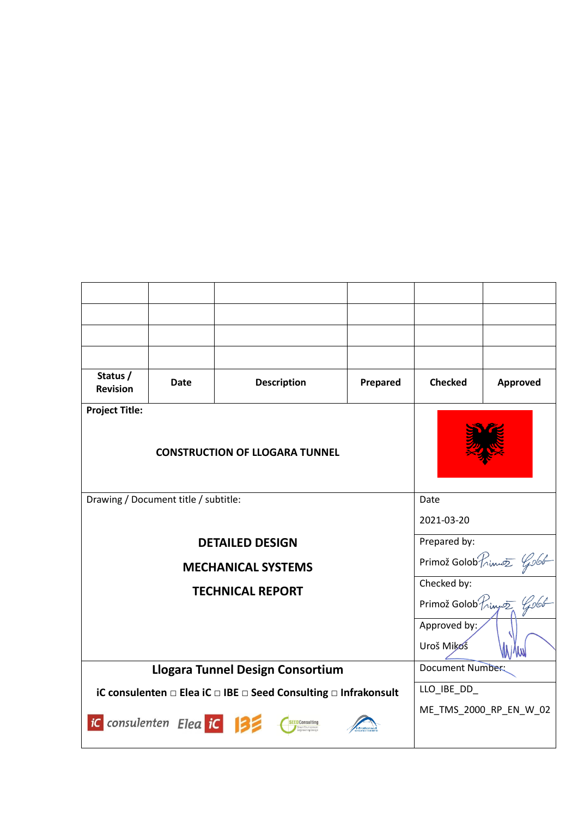| Status /<br><b>Revision</b>                                     | Date | <b>Description</b> | Prepared | <b>Checked</b>                                                                         | Approved |
|-----------------------------------------------------------------|------|--------------------|----------|----------------------------------------------------------------------------------------|----------|
| <b>Project Title:</b>                                           |      |                    |          |                                                                                        |          |
| <b>CONSTRUCTION OF LLOGARA TUNNEL</b>                           |      |                    |          |                                                                                        |          |
| Drawing / Document title / subtitle:                            |      |                    |          | Date                                                                                   |          |
|                                                                 |      |                    |          | 2021-03-20                                                                             |          |
| <b>DETAILED DESIGN</b>                                          |      |                    |          | Prepared by:                                                                           |          |
| <b>MECHANICAL SYSTEMS</b>                                       |      |                    |          | Primož Golob $P_{n\text{inv}}$ $\frac{\varphi_{0}(\theta)}{\theta_{0}}$<br>Checked by: |          |
| <b>TECHNICAL REPORT</b>                                         |      |                    |          |                                                                                        |          |
|                                                                 |      |                    |          | Primož Golob Prince Golob                                                              |          |
|                                                                 |      |                    |          | Approved by:                                                                           |          |
|                                                                 |      |                    |          | Uroš Mikoš                                                                             |          |
| Llogara Tunnel Design Consortium                                |      |                    |          | Document Number:                                                                       |          |
| iC consulenten □ Elea iC □ IBE □ Seed Consulting □ Infrakonsult |      |                    |          | LLO_IBE_DD_                                                                            |          |
| iC consulenten Elea iC  3<br>SEEDConsulting                     |      |                    |          | ME_TMS_2000_RP_EN_W_02                                                                 |          |

 $\overline{\phantom{a}}$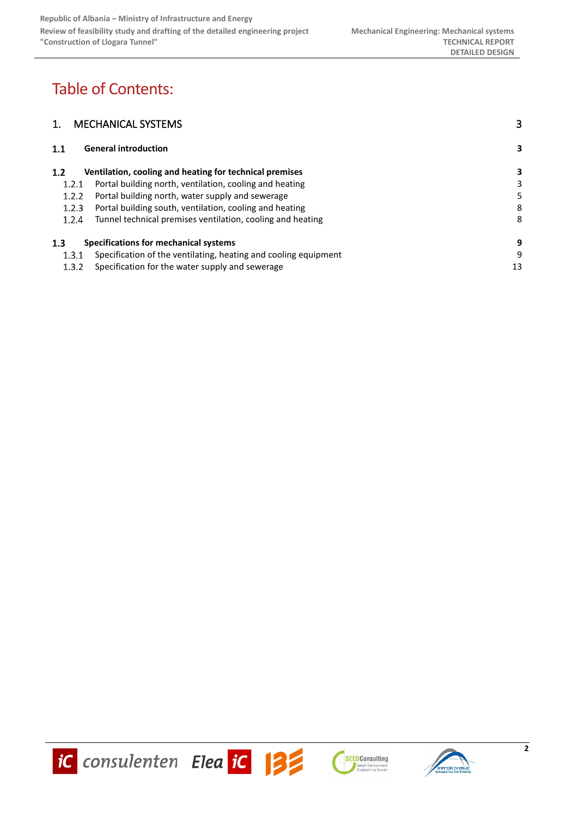# Table of Contents:

| <b>MECHANICAL SYSTEMS</b>                                                | 3  |
|--------------------------------------------------------------------------|----|
| <b>General introduction</b><br>1.1                                       | 3  |
| Ventilation, cooling and heating for technical premises<br>1.2           | 3  |
| Portal building north, ventilation, cooling and heating<br>1.2.1         | 3  |
| Portal building north, water supply and sewerage<br>1.2.2                | 5  |
| Portal building south, ventilation, cooling and heating<br>1.2.3         | 8  |
| 1.2.4<br>Tunnel technical premises ventilation, cooling and heating      | 8  |
| Specifications for mechanical systems<br>1.3                             | 9  |
| Specification of the ventilating, heating and cooling equipment<br>1.3.1 | 9  |
| Specification for the water supply and sewerage<br>1.3.2                 | 13 |





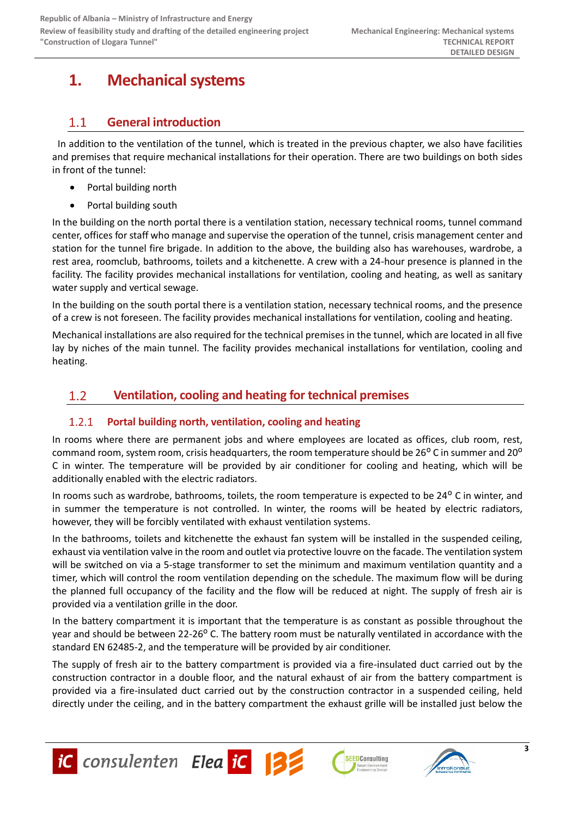# <span id="page-2-0"></span>**1. Mechanical systems**

#### <span id="page-2-1"></span>**General introduction**  $1.1$

In addition to the ventilation of the tunnel, which is treated in the previous chapter, we also have facilities and premises that require mechanical installations for their operation. There are two buildings on both sides in front of the tunnel:

- Portal building north
- Portal building south

In the building on the north portal there is a ventilation station, necessary technical rooms, tunnel command center, offices for staff who manage and supervise the operation of the tunnel, crisis management center and station for the tunnel fire brigade. In addition to the above, the building also has warehouses, wardrobe, a rest area, roomclub, bathrooms, toilets and a kitchenette. A crew with a 24-hour presence is planned in the facility. The facility provides mechanical installations for ventilation, cooling and heating, as well as sanitary water supply and vertical sewage.

In the building on the south portal there is a ventilation station, necessary technical rooms, and the presence of a crew is not foreseen. The facility provides mechanical installations for ventilation, cooling and heating.

Mechanical installations are also required for the technical premises in the tunnel, which are located in all five lay by niches of the main tunnel. The facility provides mechanical installations for ventilation, cooling and heating.

#### <span id="page-2-2"></span> $1.2$ **Ventilation, cooling and heating for technical premises**

#### <span id="page-2-3"></span> $1.2.1$ **Portal building north, ventilation, cooling and heating**

In rooms where there are permanent jobs and where employees are located as offices, club room, rest, command room, system room, crisis headquarters, the room temperature should be 26<sup>o</sup> C in summer and 20<sup>o</sup> C in winter. The temperature will be provided by air conditioner for cooling and heating, which will be additionally enabled with the electric radiators.

In rooms such as wardrobe, bathrooms, toilets, the room temperature is expected to be 24° C in winter, and in summer the temperature is not controlled. In winter, the rooms will be heated by electric radiators, however, they will be forcibly ventilated with exhaust ventilation systems.

In the bathrooms, toilets and kitchenette the exhaust fan system will be installed in the suspended ceiling, exhaust via ventilation valve in the room and outlet via protective louvre on the facade. The ventilation system will be switched on via a 5-stage transformer to set the minimum and maximum ventilation quantity and a timer, which will control the room ventilation depending on the schedule. The maximum flow will be during the planned full occupancy of the facility and the flow will be reduced at night. The supply of fresh air is provided via a ventilation grille in the door.

In the battery compartment it is important that the temperature is as constant as possible throughout the year and should be between 22-26<sup>o</sup> C. The battery room must be naturally ventilated in accordance with the standard EN 62485-2, and the temperature will be provided by air conditioner.

The supply of fresh air to the battery compartment is provided via a fire-insulated duct carried out by the construction contractor in a double floor, and the natural exhaust of air from the battery compartment is provided via a fire-insulated duct carried out by the construction contractor in a suspended ceiling, held directly under the ceiling, and in the battery compartment the exhaust grille will be installed just below the







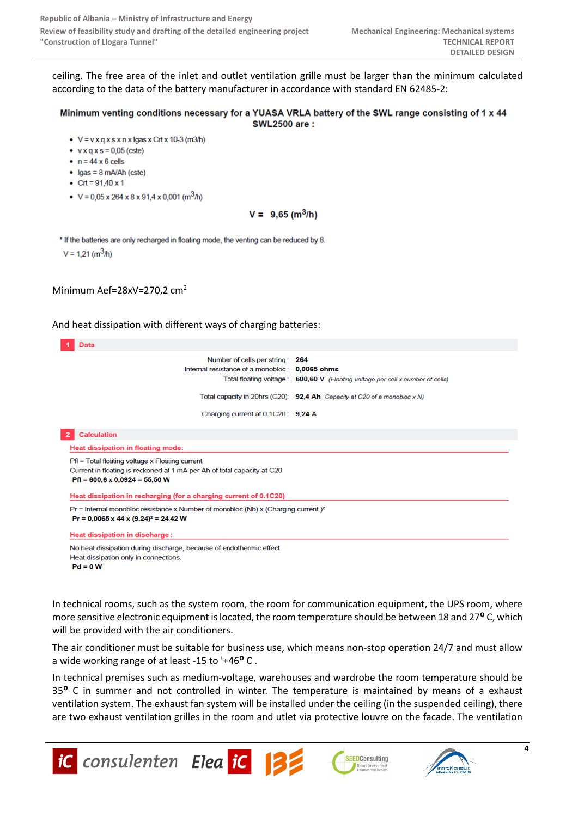ceiling. The free area of the inlet and outlet ventilation grille must be larger than the minimum calculated according to the data of the battery manufacturer in accordance with standard EN 62485-2:

#### Minimum venting conditions necessary for a YUASA VRLA battery of the SWL range consisting of 1 x 44 **SWL2500 are:**

- $V = v \times q \times s \times n \times l$ gas x Crt x 10-3 (m3/h)
- $\bullet$  v x g x s = 0.05 (cste)
- $\bullet$  n = 44 x 6 cells
- $\bullet$  Igas = 8 mA/Ah (cste)
- Crt =  $91,40 \times 1$
- $V = 0.05 \times 264 \times 8 \times 91.4 \times 0.001$  (m<sup>3</sup>/h)

 $V = 9,65$  (m<sup>3</sup>/h)

\* If the batteries are only recharged in floating mode, the venting can be reduced by 8.  $V = 1.21$  (m<sup>3</sup>/h)

### Minimum Aef=28xV=270,2 cm<sup>2</sup>

#### And heat dissipation with different ways of charging batteries:



In technical rooms, such as the system room, the room for communication equipment, the UPS room, where more sensitive electronic equipment is located, the room temperature should be between 18 and 27<sup>°</sup> C, which will be provided with the air conditioners.

The air conditioner must be suitable for business use, which means non-stop operation 24/7 and must allow a wide working range of at least -15 to '+46<sup>o</sup> C.

In technical premises such as medium-voltage, warehouses and wardrobe the room temperature should be 35<sup>°</sup> C in summer and not controlled in winter. The temperature is maintained by means of a exhaust ventilation system. The exhaust fan system will be installed under the ceiling (in the suspended ceiling), there are two exhaust ventilation grilles in the room and utlet via protective louvre on the facade. The ventilation







**4**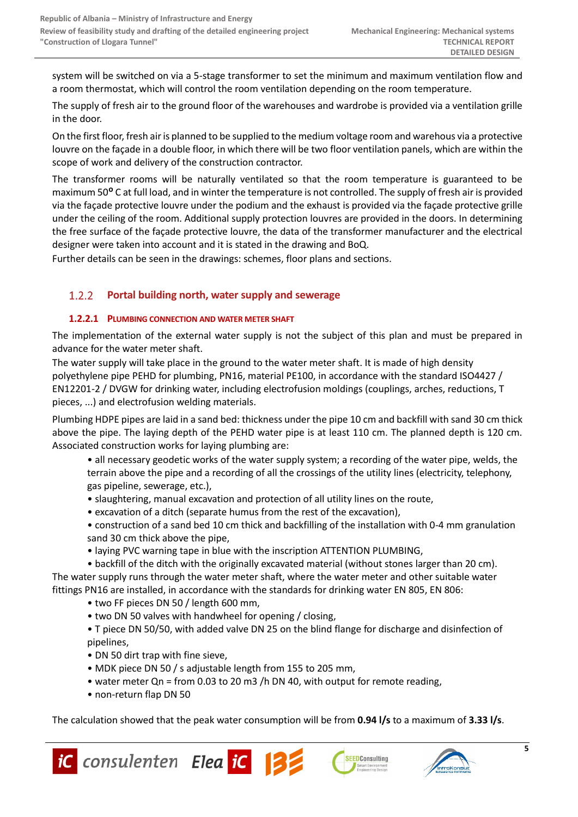system will be switched on via a 5-stage transformer to set the minimum and maximum ventilation flow and a room thermostat, which will control the room ventilation depending on the room temperature.

The supply of fresh air to the ground floor of the warehouses and wardrobe is provided via a ventilation grille in the door.

On the first floor, fresh air is planned to be supplied to the medium voltage room and warehous via a protective louvre on the façade in a double floor, in which there will be two floor ventilation panels, which are within the scope of work and delivery of the construction contractor.

The transformer rooms will be naturally ventilated so that the room temperature is guaranteed to be maximum 50<sup>o</sup> C at full load, and in winter the temperature is not controlled. The supply of fresh air is provided via the façade protective louvre under the podium and the exhaust is provided via the façade protective grille under the ceiling of the room. Additional supply protection louvres are provided in the doors. In determining the free surface of the façade protective louvre, the data of the transformer manufacturer and the electrical designer were taken into account and it is stated in the drawing and BoQ.

Further details can be seen in the drawings: schemes, floor plans and sections.

#### <span id="page-4-0"></span> $1.2.2$ **Portal building north, water supply and sewerage**

# **1.2.2.1 PLUMBING CONNECTION AND WATER METER SHAFT**

The implementation of the external water supply is not the subject of this plan and must be prepared in advance for the water meter shaft.

The water supply will take place in the ground to the water meter shaft. It is made of high density polyethylene pipe PEHD for plumbing, PN16, material PE100, in accordance with the standard ISO4427 / EN12201-2 / DVGW for drinking water, including electrofusion moldings (couplings, arches, reductions, T pieces, ...) and electrofusion welding materials.

Plumbing HDPE pipes are laid in a sand bed: thickness under the pipe 10 cm and backfill with sand 30 cm thick above the pipe. The laying depth of the PEHD water pipe is at least 110 cm. The planned depth is 120 cm. Associated construction works for laying plumbing are:

- all necessary geodetic works of the water supply system; a recording of the water pipe, welds, the terrain above the pipe and a recording of all the crossings of the utility lines (electricity, telephony, gas pipeline, sewerage, etc.),
- slaughtering, manual excavation and protection of all utility lines on the route,
- excavation of a ditch (separate humus from the rest of the excavation),
- construction of a sand bed 10 cm thick and backfilling of the installation with 0-4 mm granulation sand 30 cm thick above the pipe,
- laying PVC warning tape in blue with the inscription ATTENTION PLUMBING,

• backfill of the ditch with the originally excavated material (without stones larger than 20 cm). The water supply runs through the water meter shaft, where the water meter and other suitable water fittings PN16 are installed, in accordance with the standards for drinking water EN 805, EN 806:

- two FF pieces DN 50 / length 600 mm,
- two DN 50 valves with handwheel for opening / closing,
- T piece DN 50/50, with added valve DN 25 on the blind flange for discharge and disinfection of pipelines,
- DN 50 dirt trap with fine sieve,
- MDK piece DN 50 / s adjustable length from 155 to 205 mm,
- water meter Qn = from 0.03 to 20 m3 /h DN 40, with output for remote reading,
- non-return flap DN 50

The calculation showed that the peak water consumption will be from **0.94 l/s** to a maximum of **3.33 l/s**.



**SEEDConsulting**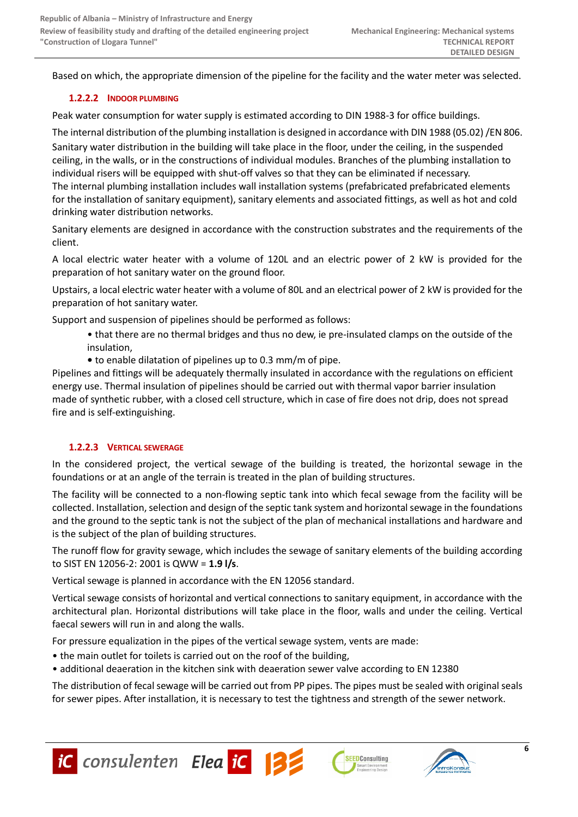Based on which, the appropriate dimension of the pipeline for the facility and the water meter was selected.

# **1.2.2.2 INDOOR PLUMBING**

Peak water consumption for water supply is estimated according to DIN 1988-3 for office buildings.

The internal distribution of the plumbing installation is designed in accordance with DIN 1988 (05.02) /EN 806. Sanitary water distribution in the building will take place in the floor, under the ceiling, in the suspended ceiling, in the walls, or in the constructions of individual modules. Branches of the plumbing installation to individual risers will be equipped with shut-off valves so that they can be eliminated if necessary. The internal plumbing installation includes wall installation systems (prefabricated prefabricated elements for the installation of sanitary equipment), sanitary elements and associated fittings, as well as hot and cold drinking water distribution networks.

Sanitary elements are designed in accordance with the construction substrates and the requirements of the client.

A local electric water heater with a volume of 120L and an electric power of 2 kW is provided for the preparation of hot sanitary water on the ground floor.

Upstairs, a local electric water heater with a volume of 80L and an electrical power of 2 kW is provided for the preparation of hot sanitary water.

Support and suspension of pipelines should be performed as follows:

- that there are no thermal bridges and thus no dew, ie pre-insulated clamps on the outside of the insulation,
- to enable dilatation of pipelines up to 0.3 mm/m of pipe.

Pipelines and fittings will be adequately thermally insulated in accordance with the regulations on efficient energy use. Thermal insulation of pipelines should be carried out with thermal vapor barrier insulation made of synthetic rubber, with a closed cell structure, which in case of fire does not drip, does not spread fire and is self-extinguishing.

# **1.2.2.3 VERTICAL SEWERAGE**

In the considered project, the vertical sewage of the building is treated, the horizontal sewage in the foundations or at an angle of the terrain is treated in the plan of building structures.

The facility will be connected to a non-flowing septic tank into which fecal sewage from the facility will be collected. Installation, selection and design of the septic tank system and horizontal sewage in the foundations and the ground to the septic tank is not the subject of the plan of mechanical installations and hardware and is the subject of the plan of building structures.

The runoff flow for gravity sewage, which includes the sewage of sanitary elements of the building according to SIST EN 12056-2: 2001 is QWW = **1.9 l/s**.

Vertical sewage is planned in accordance with the EN 12056 standard.

Vertical sewage consists of horizontal and vertical connections to sanitary equipment, in accordance with the architectural plan. Horizontal distributions will take place in the floor, walls and under the ceiling. Vertical faecal sewers will run in and along the walls.

For pressure equalization in the pipes of the vertical sewage system, vents are made:

- the main outlet for toilets is carried out on the roof of the building,
- additional deaeration in the kitchen sink with deaeration sewer valve according to EN 12380

The distribution of fecal sewage will be carried out from PP pipes. The pipes must be sealed with original seals for sewer pipes. After installation, it is necessary to test the tightness and strength of the sewer network.





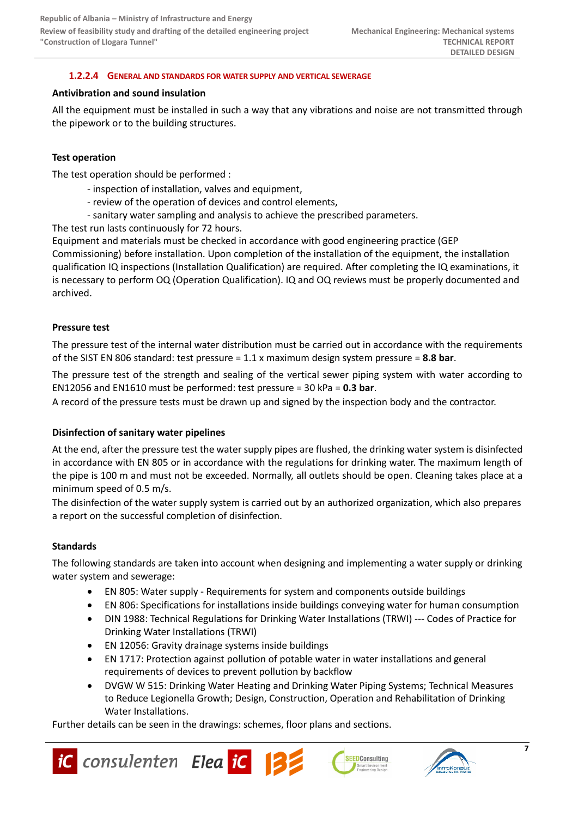### **1.2.2.4 GENERAL AND STANDARDS FOR WATER SUPPLY AND VERTICAL SEWERAGE**

#### **Antivibration and sound insulation**

All the equipment must be installed in such a way that any vibrations and noise are not transmitted through the pipework or to the building structures.

### **Test operation**

The test operation should be performed :

- inspection of installation, valves and equipment,
- review of the operation of devices and control elements,
- sanitary water sampling and analysis to achieve the prescribed parameters.

The test run lasts continuously for 72 hours.

Equipment and materials must be checked in accordance with good engineering practice (GEP Commissioning) before installation. Upon completion of the installation of the equipment, the installation qualification IQ inspections (Installation Qualification) are required. After completing the IQ examinations, it is necessary to perform OQ (Operation Qualification). IQ and OQ reviews must be properly documented and archived.

### **Pressure test**

The pressure test of the internal water distribution must be carried out in accordance with the requirements of the SIST EN 806 standard: test pressure = 1.1 x maximum design system pressure = **8.8 bar**.

The pressure test of the strength and sealing of the vertical sewer piping system with water according to EN12056 and EN1610 must be performed: test pressure = 30 kPa = **0.3 bar**.

A record of the pressure tests must be drawn up and signed by the inspection body and the contractor.

### **Disinfection of sanitary water pipelines**

At the end, after the pressure test the water supply pipes are flushed, the drinking water system is disinfected in accordance with EN 805 or in accordance with the regulations for drinking water. The maximum length of the pipe is 100 m and must not be exceeded. Normally, all outlets should be open. Cleaning takes place at a minimum speed of 0.5 m/s.

The disinfection of the water supply system is carried out by an authorized organization, which also prepares a report on the successful completion of disinfection.

#### **Standards**

The following standards are taken into account when designing and implementing a water supply or drinking water system and sewerage:

- EN 805: Water supply Requirements for system and components outside buildings
- EN 806: Specifications for installations inside buildings conveying water for human consumption
- DIN 1988: Technical Regulations for Drinking Water Installations (TRWI) --- Codes of Practice for Drinking Water Installations (TRWI)
- EN 12056: Gravity drainage systems inside buildings
- EN 1717: Protection against pollution of potable water in water installations and general requirements of devices to prevent pollution by backflow
- DVGW W 515: Drinking Water Heating and Drinking Water Piping Systems; Technical Measures to Reduce Legionella Growth; Design, Construction, Operation and Rehabilitation of Drinking Water Installations.

Further details can be seen in the drawings: schemes, floor plans and sections.



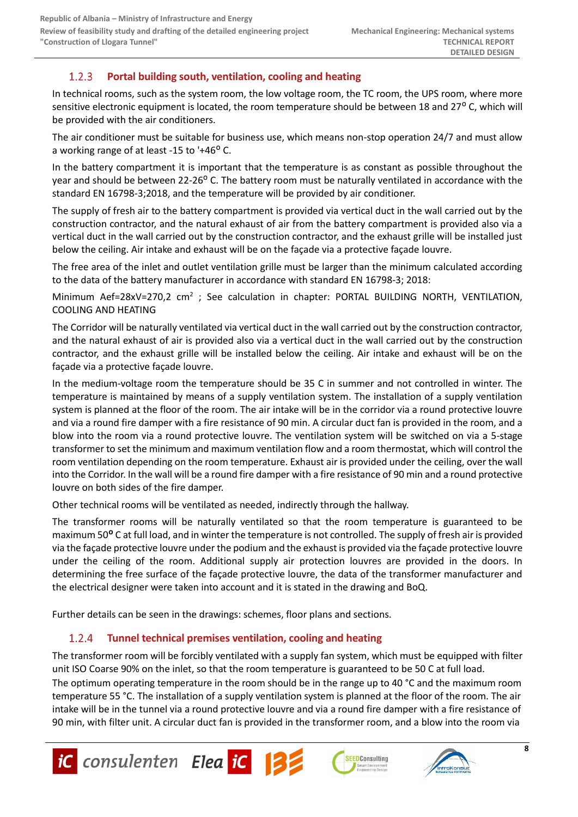#### <span id="page-7-0"></span> $1.2.3$ **Portal building south, ventilation, cooling and heating**

In technical rooms, such as the system room, the low voltage room, the TC room, the UPS room, where more sensitive electronic equipment is located, the room temperature should be between 18 and 27° C, which will be provided with the air conditioners.

The air conditioner must be suitable for business use, which means non-stop operation 24/7 and must allow a working range of at least -15 to  $+46^{\circ}$  C.

In the battery compartment it is important that the temperature is as constant as possible throughout the year and should be between 22-26<sup>o</sup> C. The battery room must be naturally ventilated in accordance with the standard EN 16798-3;2018, and the temperature will be provided by air conditioner.

The supply of fresh air to the battery compartment is provided via vertical duct in the wall carried out by the construction contractor, and the natural exhaust of air from the battery compartment is provided also via a vertical duct in the wall carried out by the construction contractor, and the exhaust grille will be installed just below the ceiling. Air intake and exhaust will be on the façade via a protective façade louvre.

The free area of the inlet and outlet ventilation grille must be larger than the minimum calculated according to the data of the battery manufacturer in accordance with standard EN 16798-3; 2018:

Minimum Aef=28xV=270,2 cm<sup>2</sup> ; See calculation in chapter: PORTAL BUILDING NORTH, VENTILATION, COOLING AND HEATING

The Corridor will be naturally ventilated via vertical duct in the wall carried out by the construction contractor, and the natural exhaust of air is provided also via a vertical duct in the wall carried out by the construction contractor, and the exhaust grille will be installed below the ceiling. Air intake and exhaust will be on the façade via a protective façade louvre.

In the medium-voltage room the temperature should be 35 C in summer and not controlled in winter. The temperature is maintained by means of a supply ventilation system. The installation of a supply ventilation system is planned at the floor of the room. The air intake will be in the corridor via a round protective louvre and via a round fire damper with a fire resistance of 90 min. A circular duct fan is provided in the room, and a blow into the room via a round protective louvre. The ventilation system will be switched on via a 5-stage transformer to set the minimum and maximum ventilation flow and a room thermostat, which will control the room ventilation depending on the room temperature. Exhaust air is provided under the ceiling, over the wall into the Corridor. In the wall will be a round fire damper with a fire resistance of 90 min and a round protective louvre on both sides of the fire damper.

Other technical rooms will be ventilated as needed, indirectly through the hallway.

The transformer rooms will be naturally ventilated so that the room temperature is guaranteed to be maximum 50<sup>°</sup> C at full load, and in winter the temperature is not controlled. The supply of fresh air is provided via the façade protective louvre under the podium and the exhaust is provided via the façade protective louvre under the ceiling of the room. Additional supply air protection louvres are provided in the doors. In determining the free surface of the façade protective louvre, the data of the transformer manufacturer and the electrical designer were taken into account and it is stated in the drawing and BoQ.

<span id="page-7-1"></span>Further details can be seen in the drawings: schemes, floor plans and sections.

#### $1.2.4$ **Tunnel technical premises ventilation, cooling and heating**

The transformer room will be forcibly ventilated with a supply fan system, which must be equipped with filter unit ISO Coarse 90% on the inlet, so that the room temperature is guaranteed to be 50 C at full load.

The optimum operating temperature in the room should be in the range up to 40 °C and the maximum room temperature 55 °C. The installation of a supply ventilation system is planned at the floor of the room. The air intake will be in the tunnel via a round protective louvre and via a round fire damper with a fire resistance of 90 min, with filter unit. A circular duct fan is provided in the transformer room, and a blow into the room via







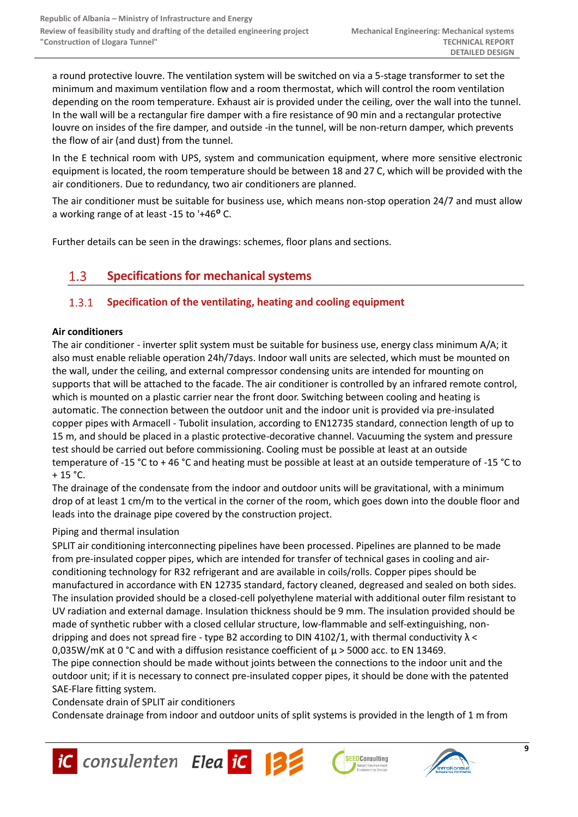a round protective louvre. The ventilation system will be switched on via a 5-stage transformer to set the minimum and maximum ventilation flow and a room thermostat, which will control the room ventilation depending on the room temperature. Exhaust air is provided under the ceiling, over the wall into the tunnel. In the wall will be a rectangular fire damper with a fire resistance of 90 min and a rectangular protective louvre on insides of the fire damper, and outside -in the tunnel, will be non-return damper, which prevents the flow of air (and dust) from the tunnel.

In the E technical room with UPS, system and communication equipment, where more sensitive electronic equipment is located, the room temperature should be between 18 and 27 C, which will be provided with the air conditioners. Due to redundancy, two air conditioners are planned.

The air conditioner must be suitable for business use, which means non-stop operation 24/7 and must allow a working range of at least -15 to '+46<sup>o</sup> C.

<span id="page-8-0"></span>Further details can be seen in the drawings: schemes, floor plans and sections.

#### $1.3$ **Specifications for mechanical systems**

#### <span id="page-8-1"></span> $1.3.1$ **Specification of the ventilating, heating and cooling equipment**

# **Air conditioners**

The air conditioner - inverter split system must be suitable for business use, energy class minimum A/A; it also must enable reliable operation 24h/7days. Indoor wall units are selected, which must be mounted on the wall, under the ceiling, and external compressor condensing units are intended for mounting on supports that will be attached to the facade. The air conditioner is controlled by an infrared remote control, which is mounted on a plastic carrier near the front door. Switching between cooling and heating is automatic. The connection between the outdoor unit and the indoor unit is provided via pre-insulated copper pipes with Armacell - Tubolit insulation, according to EN12735 standard, connection length of up to 15 m, and should be placed in a plastic protective-decorative channel. Vacuuming the system and pressure test should be carried out before commissioning. Cooling must be possible at least at an outside temperature of -15 °C to + 46 °C and heating must be possible at least at an outside temperature of -15 °C to  $+ 15 °C.$ 

The drainage of the condensate from the indoor and outdoor units will be gravitational, with a minimum drop of at least 1 cm/m to the vertical in the corner of the room, which goes down into the double floor and leads into the drainage pipe covered by the construction project.

### Piping and thermal insulation

SPLIT air conditioning interconnecting pipelines have been processed. Pipelines are planned to be made from pre-insulated copper pipes, which are intended for transfer of technical gases in cooling and airconditioning technology for R32 refrigerant and are available in coils/rolls. Copper pipes should be manufactured in accordance with EN 12735 standard, factory cleaned, degreased and sealed on both sides. The insulation provided should be a closed-cell polyethylene material with additional outer film resistant to UV radiation and external damage. Insulation thickness should be 9 mm. The insulation provided should be made of synthetic rubber with a closed cellular structure, low-flammable and self-extinguishing, nondripping and does not spread fire - type B2 according to DIN 4102/1, with thermal conductivity  $\lambda$  < 0,035W/mK at 0 °C and with a diffusion resistance coefficient of  $\mu$  > 5000 acc. to EN 13469.

The pipe connection should be made without joints between the connections to the indoor unit and the outdoor unit; if it is necessary to connect pre-insulated copper pipes, it should be done with the patented SAE-Flare fitting system.

Condensate drain of SPLIT air conditioners

Condensate drainage from indoor and outdoor units of split systems is provided in the length of 1 m from





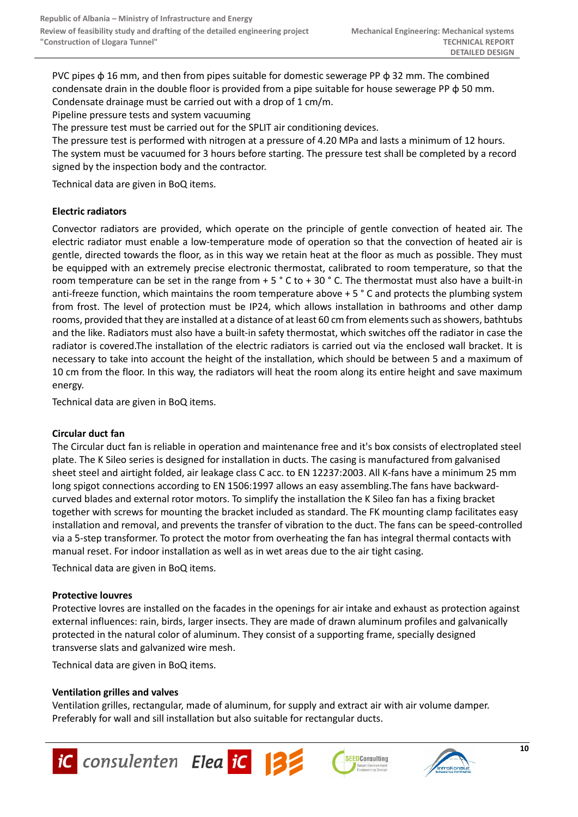PVC pipes  $\phi$  16 mm, and then from pipes suitable for domestic sewerage PP  $\phi$  32 mm. The combined condensate drain in the double floor is provided from a pipe suitable for house sewerage PP φ 50 mm. Condensate drainage must be carried out with a drop of 1 cm/m.

Pipeline pressure tests and system vacuuming

The pressure test must be carried out for the SPLIT air conditioning devices.

The pressure test is performed with nitrogen at a pressure of 4.20 MPa and lasts a minimum of 12 hours. The system must be vacuumed for 3 hours before starting. The pressure test shall be completed by a record signed by the inspection body and the contractor.

Technical data are given in BoQ items.

# **Electric radiators**

Convector radiators are provided, which operate on the principle of gentle convection of heated air. The electric radiator must enable a low-temperature mode of operation so that the convection of heated air is gentle, directed towards the floor, as in this way we retain heat at the floor as much as possible. They must be equipped with an extremely precise electronic thermostat, calibrated to room temperature, so that the room temperature can be set in the range from  $+ 5 \degree C$  to  $+ 30 \degree C$ . The thermostat must also have a built-in anti-freeze function, which maintains the room temperature above + 5 ° C and protects the plumbing system from frost. The level of protection must be IP24, which allows installation in bathrooms and other damp rooms, provided that they are installed at a distance of at least 60 cm from elements such as showers, bathtubs and the like. Radiators must also have a built-in safety thermostat, which switches off the radiator in case the radiator is covered.The installation of the electric radiators is carried out via the enclosed wall bracket. It is necessary to take into account the height of the installation, which should be between 5 and a maximum of 10 cm from the floor. In this way, the radiators will heat the room along its entire height and save maximum energy.

Technical data are given in BoQ items.

### **Circular duct fan**

The Circular duct fan is reliable in operation and maintenance free and it's box consists of electroplated steel plate. The K Sileo series is designed for installation in ducts. The casing is manufactured from galvanised sheet steel and airtight folded, air leakage class C acc. to EN 12237:2003. All K-fans have a minimum 25 mm long spigot connections according to EN 1506:1997 allows an easy assembling.The fans have backwardcurved blades and external rotor motors. To simplify the installation the K Sileo fan has a fixing bracket together with screws for mounting the bracket included as standard. The FK mounting clamp facilitates easy installation and removal, and prevents the transfer of vibration to the duct. The fans can be speed-controlled via a 5-step transformer. To protect the motor from overheating the fan has integral thermal contacts with manual reset. For indoor installation as well as in wet areas due to the air tight casing.

Technical data are given in BoQ items.

# **Protective louvres**

Protective lovres are installed on the facades in the openings for air intake and exhaust as protection against external influences: rain, birds, larger insects. They are made of drawn aluminum profiles and galvanically protected in the natural color of aluminum. They consist of a supporting frame, specially designed transverse slats and galvanized wire mesh.

Technical data are given in BoQ items.

### **Ventilation grilles and valves**

Ventilation grilles, rectangular, made of aluminum, for supply and extract air with air volume damper. Preferably for wall and sill installation but also suitable for rectangular ducts.







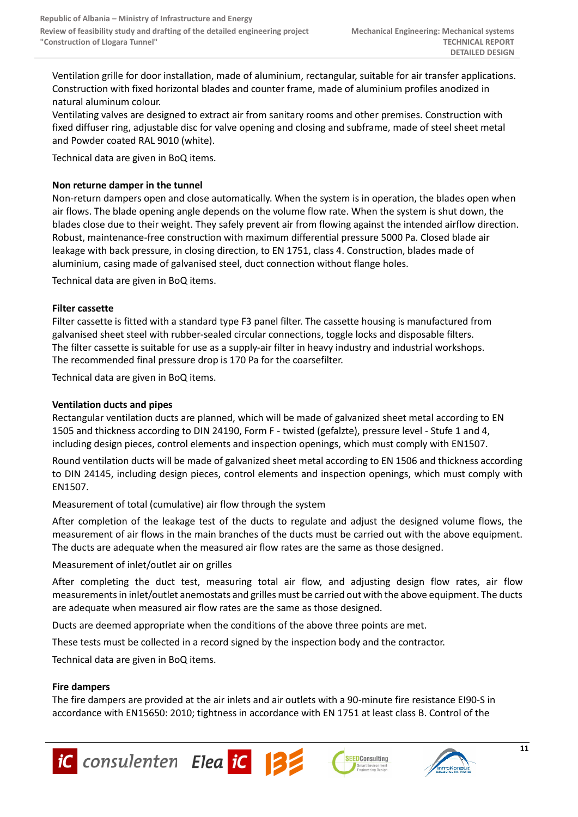Ventilation grille for door installation, made of aluminium, rectangular, suitable for air transfer applications. Construction with fixed horizontal blades and counter frame, made of aluminium profiles anodized in natural aluminum colour.

Ventilating valves are designed to extract air from sanitary rooms and other premises. Construction with fixed diffuser ring, adjustable disc for valve opening and closing and subframe, made of steel sheet metal and Powder coated RAL 9010 (white).

Technical data are given in BoQ items.

# **Non returne damper in the tunnel**

Non-return dampers open and close automatically. When the system is in operation, the blades open when air flows. The blade opening angle depends on the volume flow rate. When the system is shut down, the blades close due to their weight. They safely prevent air from flowing against the intended airflow direction. Robust, maintenance-free construction with maximum differential pressure 5000 Pa. Closed blade air leakage with back pressure, in closing direction, to EN 1751, class 4. Construction, blades made of aluminium, casing made of galvanised steel, duct connection without flange holes.

Technical data are given in BoQ items.

# **Filter cassette**

Filter cassette is fitted with a standard type F3 panel filter. The cassette housing is manufactured from galvanised sheet steel with rubber-sealed circular connections, toggle locks and disposable filters. The filter cassette is suitable for use as a supply-air filter in heavy industry and industrial workshops. The recommended final pressure drop is 170 Pa for the coarsefilter.

Technical data are given in BoQ items.

# **Ventilation ducts and pipes**

Rectangular ventilation ducts are planned, which will be made of galvanized sheet metal according to EN 1505 and thickness according to DIN 24190, Form F - twisted (gefalzte), pressure level - Stufe 1 and 4, including design pieces, control elements and inspection openings, which must comply with EN1507.

Round ventilation ducts will be made of galvanized sheet metal according to EN 1506 and thickness according to DIN 24145, including design pieces, control elements and inspection openings, which must comply with EN1507.

Measurement of total (cumulative) air flow through the system

After completion of the leakage test of the ducts to regulate and adjust the designed volume flows, the measurement of air flows in the main branches of the ducts must be carried out with the above equipment. The ducts are adequate when the measured air flow rates are the same as those designed.

Measurement of inlet/outlet air on grilles

After completing the duct test, measuring total air flow, and adjusting design flow rates, air flow measurements in inlet/outlet anemostats and grilles must be carried out with the above equipment. The ducts are adequate when measured air flow rates are the same as those designed.

Ducts are deemed appropriate when the conditions of the above three points are met.

These tests must be collected in a record signed by the inspection body and the contractor.

Technical data are given in BoQ items.

### **Fire dampers**

The fire dampers are provided at the air inlets and air outlets with a 90-minute fire resistance EI90-S in accordance with EN15650: 2010; tightness in accordance with EN 1751 at least class B. Control of the







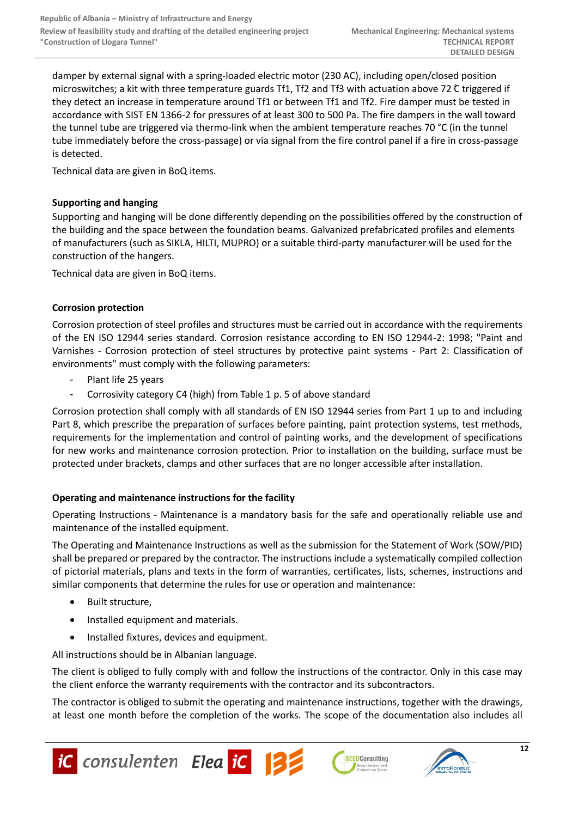damper by external signal with a spring-loaded electric motor (230 AC), including open/closed position microswitches; a kit with three temperature guards Tf1, Tf2 and Tf3 with actuation above 72 °C triggered if they detect an increase in temperature around Tf1 or between Tf1 and Tf2. Fire damper must be tested in accordance with SIST EN 1366-2 for pressures of at least 300 to 500 Pa. The fire dampers in the wall toward the tunnel tube are triggered via thermo-link when the ambient temperature reaches 70 °C (in the tunnel tube immediately before the cross-passage) or via signal from the fire control panel if a fire in cross-passage is detected.

Technical data are given in BoQ items.

# **Supporting and hanging**

Supporting and hanging will be done differently depending on the possibilities offered by the construction of the building and the space between the foundation beams. Galvanized prefabricated profiles and elements of manufacturers (such as SIKLA, HILTI, MUPRO) or a suitable third-party manufacturer will be used for the construction of the hangers.

Technical data are given in BoQ items.

# **Corrosion protection**

Corrosion protection of steel profiles and structures must be carried out in accordance with the requirements of the EN ISO 12944 series standard. Corrosion resistance according to EN ISO 12944-2: 1998; "Paint and Varnishes - Corrosion protection of steel structures by protective paint systems - Part 2: Classification of environments" must comply with the following parameters:

- Plant life 25 years
- Corrosivity category C4 (high) from Table 1 p. 5 of above standard

Corrosion protection shall comply with all standards of EN ISO 12944 series from Part 1 up to and including Part 8, which prescribe the preparation of surfaces before painting, paint protection systems, test methods, requirements for the implementation and control of painting works, and the development of specifications for new works and maintenance corrosion protection. Prior to installation on the building, surface must be protected under brackets, clamps and other surfaces that are no longer accessible after installation.

# **Operating and maintenance instructions for the facility**

Operating Instructions - Maintenance is a mandatory basis for the safe and operationally reliable use and maintenance of the installed equipment.

The Operating and Maintenance Instructions as well as the submission for the Statement of Work (SOW/PID) shall be prepared or prepared by the contractor. The instructions include a systematically compiled collection of pictorial materials, plans and texts in the form of warranties, certificates, lists, schemes, instructions and similar components that determine the rules for use or operation and maintenance:

- Built structure.
- Installed equipment and materials.
- Installed fixtures, devices and equipment.

All instructions should be in Albanian language.

The client is obliged to fully comply with and follow the instructions of the contractor. Only in this case may the client enforce the warranty requirements with the contractor and its subcontractors.

The contractor is obliged to submit the operating and maintenance instructions, together with the drawings, at least one month before the completion of the works. The scope of the documentation also includes all





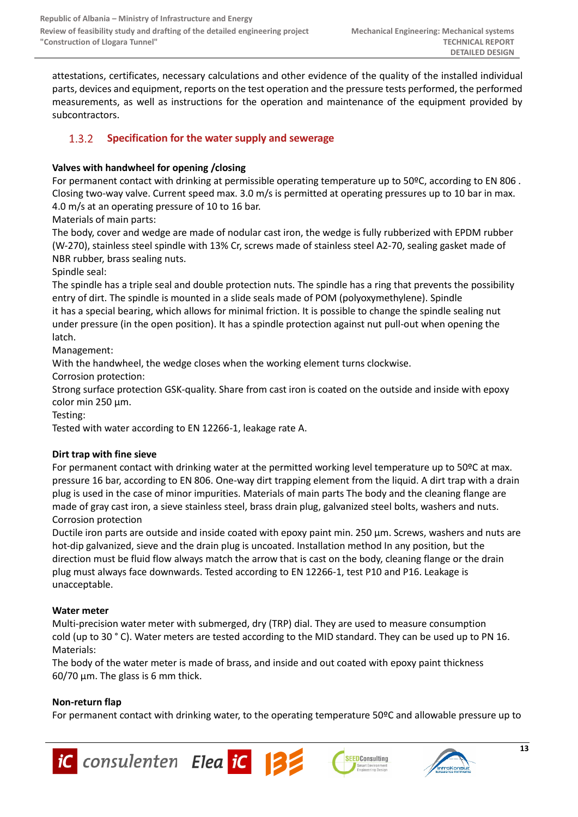attestations, certificates, necessary calculations and other evidence of the quality of the installed individual parts, devices and equipment, reports on the test operation and the pressure tests performed, the performed measurements, as well as instructions for the operation and maintenance of the equipment provided by subcontractors.

#### <span id="page-12-0"></span> $1.3.2$ **Specification for the water supply and sewerage**

# **Valves with handwheel for opening /closing**

For permanent contact with drinking at permissible operating temperature up to 50ºC, according to EN 806 . Closing two-way valve. Current speed max. 3.0 m/s is permitted at operating pressures up to 10 bar in max. 4.0 m/s at an operating pressure of 10 to 16 bar.

Materials of main parts:

The body, cover and wedge are made of nodular cast iron, the wedge is fully rubberized with EPDM rubber (W-270), stainless steel spindle with 13% Cr, screws made of stainless steel A2-70, sealing gasket made of NBR rubber, brass sealing nuts.

Spindle seal:

The spindle has a triple seal and double protection nuts. The spindle has a ring that prevents the possibility entry of dirt. The spindle is mounted in a slide seals made of POM (polyoxymethylene). Spindle it has a special bearing, which allows for minimal friction. It is possible to change the spindle sealing nut under pressure (in the open position). It has a spindle protection against nut pull-out when opening the latch.

Management:

With the handwheel, the wedge closes when the working element turns clockwise.

Corrosion protection:

Strong surface protection GSK-quality. Share from cast iron is coated on the outside and inside with epoxy color min 250 μm.

Testing:

Tested with water according to EN 12266-1, leakage rate A.

# **Dirt trap with fine sieve**

For permanent contact with drinking water at the permitted working level temperature up to 50ºC at max. pressure 16 bar, according to EN 806. One-way dirt trapping element from the liquid. A dirt trap with a drain plug is used in the case of minor impurities. Materials of main parts The body and the cleaning flange are made of gray cast iron, a sieve stainless steel, brass drain plug, galvanized steel bolts, washers and nuts. Corrosion protection

Ductile iron parts are outside and inside coated with epoxy paint min. 250 μm. Screws, washers and nuts are hot-dip galvanized, sieve and the drain plug is uncoated. Installation method In any position, but the direction must be fluid flow always match the arrow that is cast on the body, cleaning flange or the drain plug must always face downwards. Tested according to EN 12266-1, test P10 and P16. Leakage is unacceptable.

# **Water meter**

Multi-precision water meter with submerged, dry (TRP) dial. They are used to measure consumption cold (up to 30 ° C). Water meters are tested according to the MID standard. They can be used up to PN 16. Materials:

The body of the water meter is made of brass, and inside and out coated with epoxy paint thickness 60/70 μm. The glass is 6 mm thick.

# **Non-return flap**

For permanent contact with drinking water, to the operating temperature 50ºC and allowable pressure up to





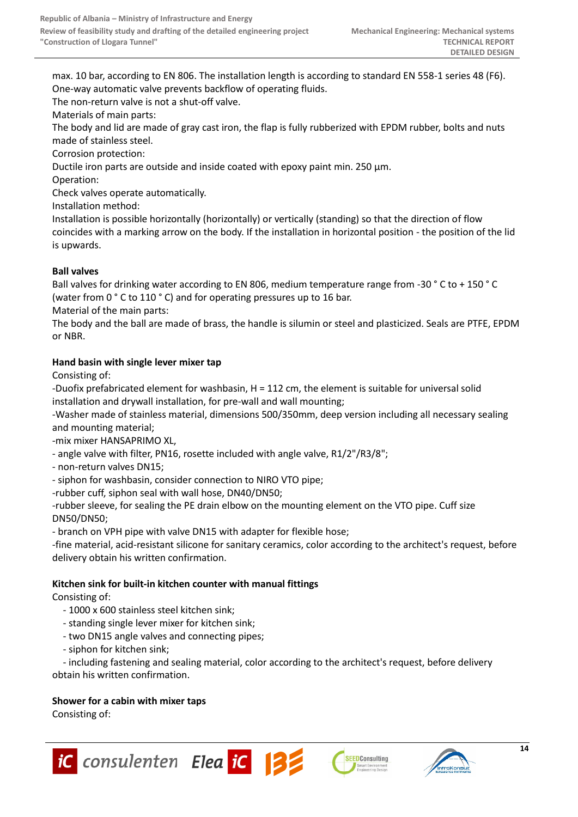max. 10 bar, according to EN 806. The installation length is according to standard EN 558-1 series 48 (F6). One-way automatic valve prevents backflow of operating fluids.

The non-return valve is not a shut-off valve.

Materials of main parts:

The body and lid are made of gray cast iron, the flap is fully rubberized with EPDM rubber, bolts and nuts made of stainless steel.

Corrosion protection:

Ductile iron parts are outside and inside coated with epoxy paint min. 250 μm.

Operation:

Check valves operate automatically.

Installation method:

Installation is possible horizontally (horizontally) or vertically (standing) so that the direction of flow coincides with a marking arrow on the body. If the installation in horizontal position - the position of the lid is upwards.

# **Ball valves**

Ball valves for drinking water according to EN 806, medium temperature range from -30 ° C to + 150 ° C (water from 0 ° C to 110 ° C) and for operating pressures up to 16 bar.

Material of the main parts:

The body and the ball are made of brass, the handle is silumin or steel and plasticized. Seals are PTFE, EPDM or NBR.

# **Hand basin with single lever mixer tap**

Consisting of:

-Duofix prefabricated element for washbasin, H = 112 cm, the element is suitable for universal solid installation and drywall installation, for pre-wall and wall mounting;

-Washer made of stainless material, dimensions 500/350mm, deep version including all necessary sealing and mounting material;

-mix mixer HANSAPRIMO XL,

- angle valve with filter, PN16, rosette included with angle valve, R1/2"/R3/8";

- non-return valves DN15;

- siphon for washbasin, consider connection to NIRO VTO pipe;

-rubber cuff, siphon seal with wall hose, DN40/DN50;

-rubber sleeve, for sealing the PE drain elbow on the mounting element on the VTO pipe. Cuff size DN50/DN50;

- branch on VPH pipe with valve DN15 with adapter for flexible hose;

-fine material, acid-resistant silicone for sanitary ceramics, color according to the architect's request, before delivery obtain his written confirmation.

# **Kitchen sink for built-in kitchen counter with manual fittings**

Consisting of:

- 1000 x 600 stainless steel kitchen sink;
- standing single lever mixer for kitchen sink;
- two DN15 angle valves and connecting pipes;
- siphon for kitchen sink;

 - including fastening and sealing material, color according to the architect's request, before delivery obtain his written confirmation.

### **Shower for a cabin with mixer taps**

Consisting of:





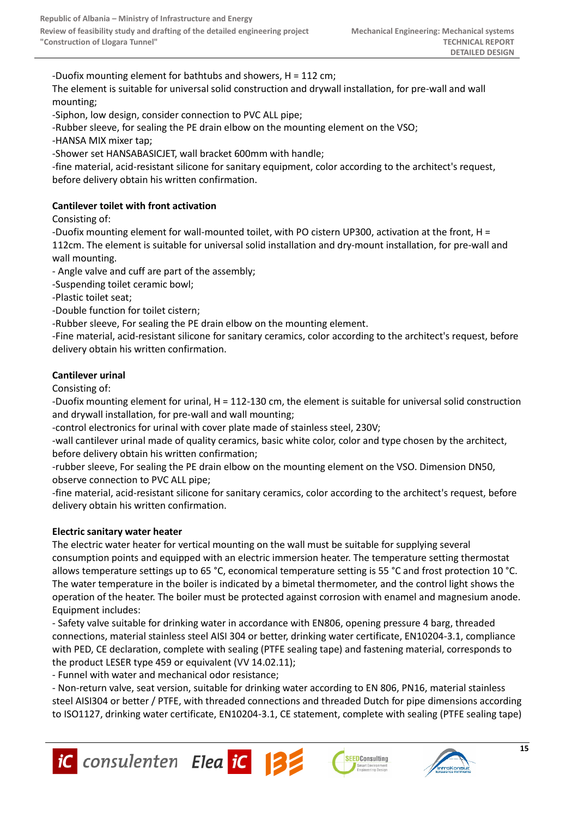-Duofix mounting element for bathtubs and showers, H = 112 cm;

The element is suitable for universal solid construction and drywall installation, for pre-wall and wall mounting;

-Siphon, low design, consider connection to PVC ALL pipe;

-Rubber sleeve, for sealing the PE drain elbow on the mounting element on the VSO;

-HANSA MIX mixer tap;

-Shower set HANSABASICJET, wall bracket 600mm with handle;

-fine material, acid-resistant silicone for sanitary equipment, color according to the architect's request, before delivery obtain his written confirmation.

# **Cantilever toilet with front activation**

Consisting of:

-Duofix mounting element for wall-mounted toilet, with PO cistern UP300, activation at the front, H =

112cm. The element is suitable for universal solid installation and dry-mount installation, for pre-wall and wall mounting.

- Angle valve and cuff are part of the assembly;

-Suspending toilet ceramic bowl;

-Plastic toilet seat;

-Double function for toilet cistern;

-Rubber sleeve, For sealing the PE drain elbow on the mounting element.

-Fine material, acid-resistant silicone for sanitary ceramics, color according to the architect's request, before delivery obtain his written confirmation.

# **Cantilever urinal**

Consisting of:

-Duofix mounting element for urinal, H = 112-130 cm, the element is suitable for universal solid construction and drywall installation, for pre-wall and wall mounting;

-control electronics for urinal with cover plate made of stainless steel, 230V;

-wall cantilever urinal made of quality ceramics, basic white color, color and type chosen by the architect, before delivery obtain his written confirmation;

-rubber sleeve, For sealing the PE drain elbow on the mounting element on the VSO. Dimension DN50, observe connection to PVC ALL pipe;

-fine material, acid-resistant silicone for sanitary ceramics, color according to the architect's request, before delivery obtain his written confirmation.

# **Electric sanitary water heater**

The electric water heater for vertical mounting on the wall must be suitable for supplying several consumption points and equipped with an electric immersion heater. The temperature setting thermostat allows temperature settings up to 65 °C, economical temperature setting is 55 °C and frost protection 10 °C. The water temperature in the boiler is indicated by a bimetal thermometer, and the control light shows the operation of the heater. The boiler must be protected against corrosion with enamel and magnesium anode. Equipment includes:

- Safety valve suitable for drinking water in accordance with EN806, opening pressure 4 barg, threaded connections, material stainless steel AISI 304 or better, drinking water certificate, EN10204-3.1, compliance with PED, CE declaration, complete with sealing (PTFE sealing tape) and fastening material, corresponds to the product LESER type 459 or equivalent (VV 14.02.11);

- Funnel with water and mechanical odor resistance;

- Non-return valve, seat version, suitable for drinking water according to EN 806, PN16, material stainless steel AISI304 or better / PTFE, with threaded connections and threaded Dutch for pipe dimensions according to ISO1127, drinking water certificate, EN10204-3.1, CE statement, complete with sealing (PTFE sealing tape)



**SEEDConsulting**